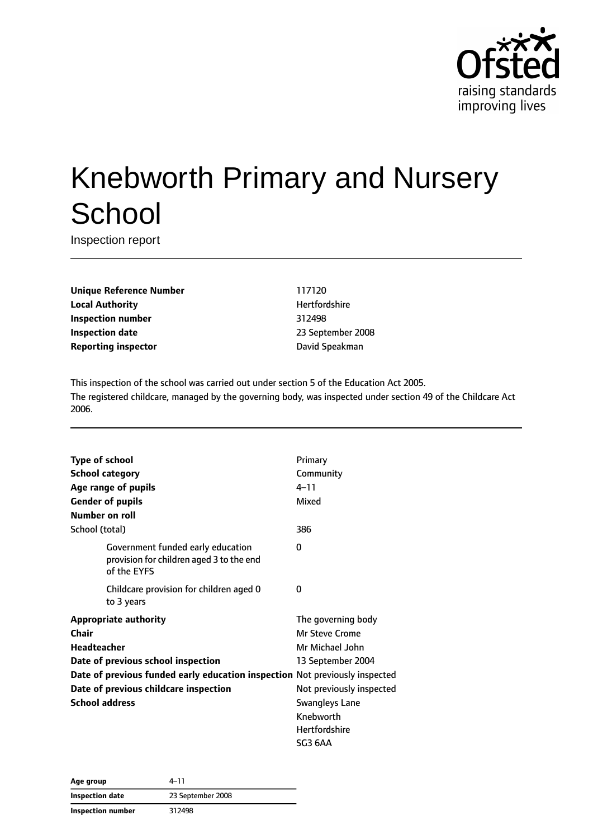

# Knebworth Primary and Nursery **School**

Inspection report

**Unique Reference Number** 117120 **Local Authority Hertfordshire Inspection number** 312498 **Inspection date** 2008 **Reporting inspector Contracts Contracts Contracts David Speakman** 

This inspection of the school was carried out under section 5 of the Education Act 2005. The registered childcare, managed by the governing body, was inspected under section 49 of the Childcare Act 2006.

| <b>Type of school</b>              |                                                                               | Primary                  |
|------------------------------------|-------------------------------------------------------------------------------|--------------------------|
| <b>School category</b>             |                                                                               | Community                |
| Age range of pupils                |                                                                               | $4 - 11$                 |
| <b>Gender of pupils</b>            |                                                                               | Mixed                    |
| Number on roll                     |                                                                               |                          |
| School (total)                     |                                                                               | 386                      |
| of the EYFS                        | Government funded early education<br>provision for children aged 3 to the end | 0                        |
| to 3 years                         | Childcare provision for children aged 0                                       | 0                        |
| <b>Appropriate authority</b>       |                                                                               | The governing body       |
| Chair                              |                                                                               | Mr Steve Crome           |
| Headteacher                        |                                                                               | Mr Michael John          |
| Date of previous school inspection |                                                                               | 13 September 2004        |
|                                    | Date of previous funded early education inspection Not previously inspected   |                          |
|                                    | Date of previous childcare inspection                                         | Not previously inspected |
| <b>School address</b>              |                                                                               | <b>Swangleys Lane</b>    |
|                                    |                                                                               | Knebworth                |
|                                    |                                                                               | <b>Hertfordshire</b>     |
|                                    |                                                                               | SG3 6AA                  |

| Age group                | 4-11              |
|--------------------------|-------------------|
| Inspection date          | 23 September 2008 |
| <b>Inspection number</b> | 312498            |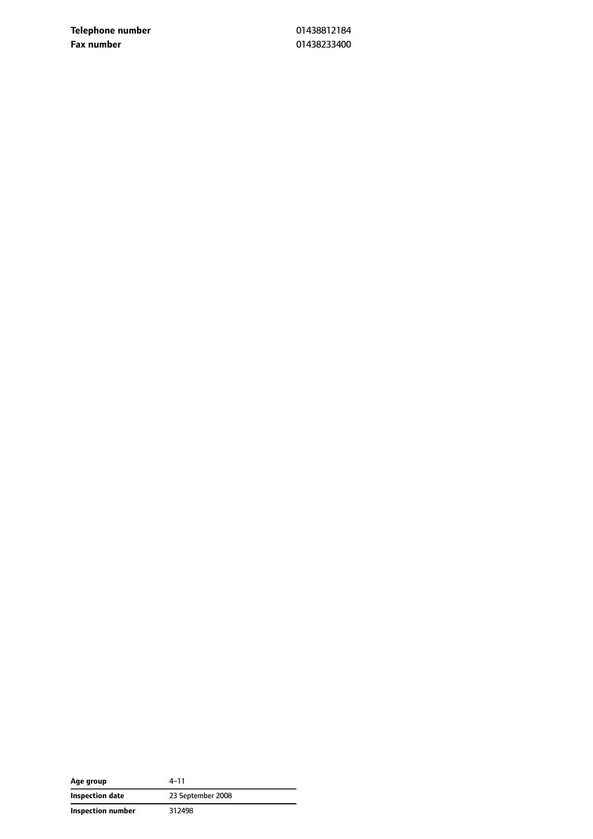**Telephone number** 01438812184 **Fax number** 01438233400

| Age group         | 4–11              |
|-------------------|-------------------|
| Inspection date   | 23 September 2008 |
| Inspection number | 312498            |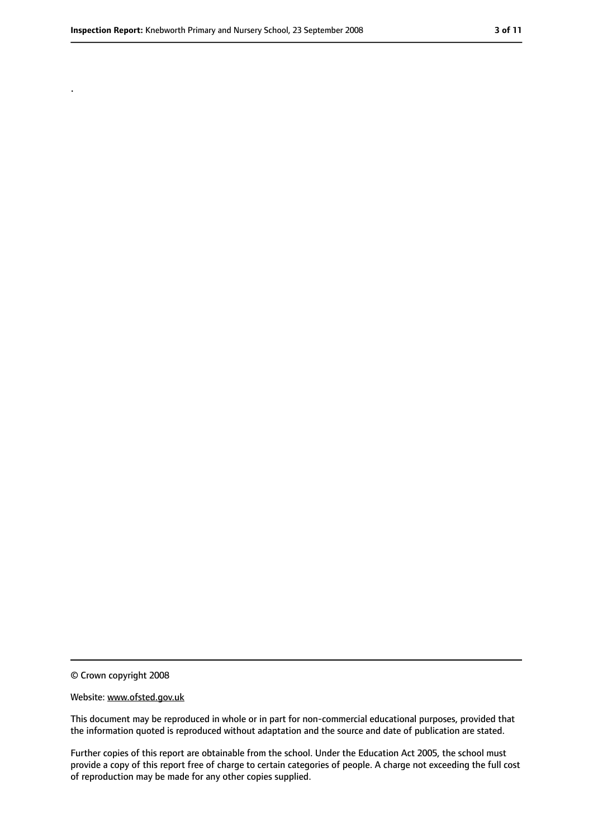.

<sup>©</sup> Crown copyright 2008

Website: www.ofsted.gov.uk

This document may be reproduced in whole or in part for non-commercial educational purposes, provided that the information quoted is reproduced without adaptation and the source and date of publication are stated.

Further copies of this report are obtainable from the school. Under the Education Act 2005, the school must provide a copy of this report free of charge to certain categories of people. A charge not exceeding the full cost of reproduction may be made for any other copies supplied.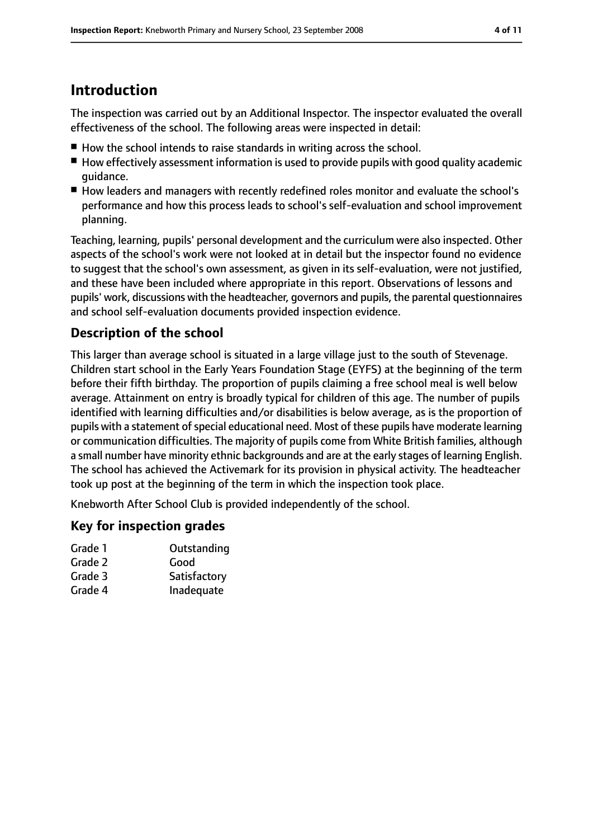## **Introduction**

The inspection was carried out by an Additional Inspector. The inspector evaluated the overall effectiveness of the school. The following areas were inspected in detail:

- How the school intends to raise standards in writing across the school.
- How effectively assessment information is used to provide pupils with good quality academic guidance.
- How leaders and managers with recently redefined roles monitor and evaluate the school's performance and how this process leads to school's self-evaluation and school improvement planning.

Teaching, learning, pupils' personal development and the curriculum were also inspected. Other aspects of the school's work were not looked at in detail but the inspector found no evidence to suggest that the school's own assessment, as given in its self-evaluation, were not justified, and these have been included where appropriate in this report. Observations of lessons and pupils' work, discussions with the headteacher, governors and pupils, the parental questionnaires and school self-evaluation documents provided inspection evidence.

### **Description of the school**

This larger than average school is situated in a large village just to the south of Stevenage. Children start school in the Early Years Foundation Stage (EYFS) at the beginning of the term before their fifth birthday. The proportion of pupils claiming a free school meal is well below average. Attainment on entry is broadly typical for children of this age. The number of pupils identified with learning difficulties and/or disabilities is below average, as is the proportion of pupils with a statement of special educational need. Most of these pupils have moderate learning or communication difficulties. The majority of pupils come from White British families, although a small number have minority ethnic backgrounds and are at the early stages of learning English. The school has achieved the Activemark for its provision in physical activity. The headteacher took up post at the beginning of the term in which the inspection took place.

Knebworth After School Club is provided independently of the school.

#### **Key for inspection grades**

| Grade 1 | Outstanding  |
|---------|--------------|
| Grade 2 | Good         |
| Grade 3 | Satisfactory |
| Grade 4 | Inadequate   |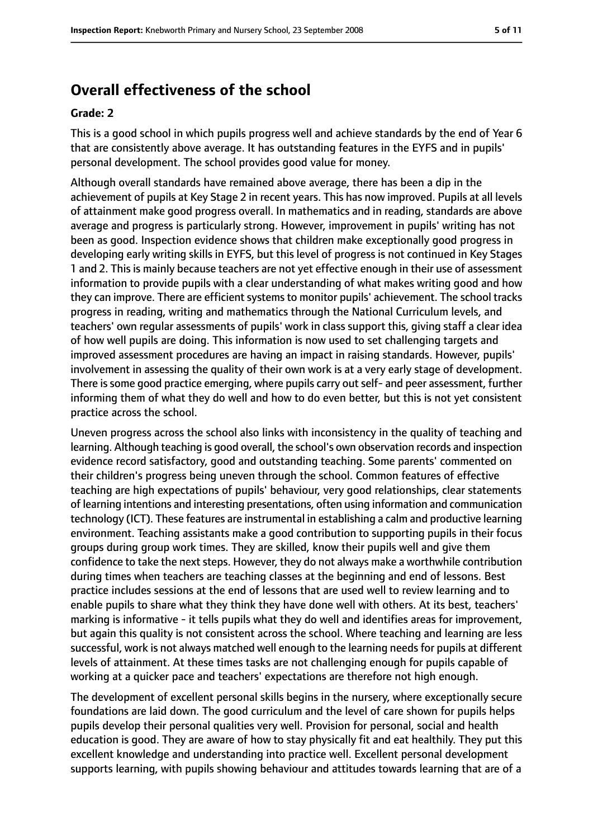# **Overall effectiveness of the school**

#### **Grade: 2**

This is a good school in which pupils progress well and achieve standards by the end of Year 6 that are consistently above average. It has outstanding features in the EYFS and in pupils' personal development. The school provides good value for money.

Although overall standards have remained above average, there has been a dip in the achievement of pupils at Key Stage 2 in recent years. This has now improved. Pupils at all levels of attainment make good progress overall. In mathematics and in reading, standards are above average and progress is particularly strong. However, improvement in pupils' writing has not been as good. Inspection evidence shows that children make exceptionally good progress in developing early writing skills in EYFS, but this level of progress is not continued in Key Stages 1 and 2. This is mainly because teachers are not yet effective enough in their use of assessment information to provide pupils with a clear understanding of what makes writing good and how they can improve. There are efficient systems to monitor pupils' achievement. The school tracks progress in reading, writing and mathematics through the National Curriculum levels, and teachers' own regular assessments of pupils' work in class support this, giving staff a clear idea of how well pupils are doing. This information is now used to set challenging targets and improved assessment procedures are having an impact in raising standards. However, pupils' involvement in assessing the quality of their own work is at a very early stage of development. There is some good practice emerging, where pupils carry out self- and peer assessment, further informing them of what they do well and how to do even better, but this is not yet consistent practice across the school.

Uneven progress across the school also links with inconsistency in the quality of teaching and learning. Although teaching is good overall, the school's own observation records and inspection evidence record satisfactory, good and outstanding teaching. Some parents' commented on their children's progress being uneven through the school. Common features of effective teaching are high expectations of pupils' behaviour, very good relationships, clear statements of learning intentions and interesting presentations, often using information and communication technology (ICT). These features are instrumental in establishing a calm and productive learning environment. Teaching assistants make a good contribution to supporting pupils in their focus groups during group work times. They are skilled, know their pupils well and give them confidence to take the next steps. However, they do not always make a worthwhile contribution during times when teachers are teaching classes at the beginning and end of lessons. Best practice includes sessions at the end of lessons that are used well to review learning and to enable pupils to share what they think they have done well with others. At its best, teachers' marking is informative - it tells pupils what they do well and identifies areas for improvement, but again this quality is not consistent across the school. Where teaching and learning are less successful, work is not always matched well enough to the learning needs for pupils at different levels of attainment. At these times tasks are not challenging enough for pupils capable of working at a quicker pace and teachers' expectations are therefore not high enough.

The development of excellent personal skills begins in the nursery, where exceptionally secure foundations are laid down. The good curriculum and the level of care shown for pupils helps pupils develop their personal qualities very well. Provision for personal, social and health education is good. They are aware of how to stay physically fit and eat healthily. They put this excellent knowledge and understanding into practice well. Excellent personal development supports learning, with pupils showing behaviour and attitudes towards learning that are of a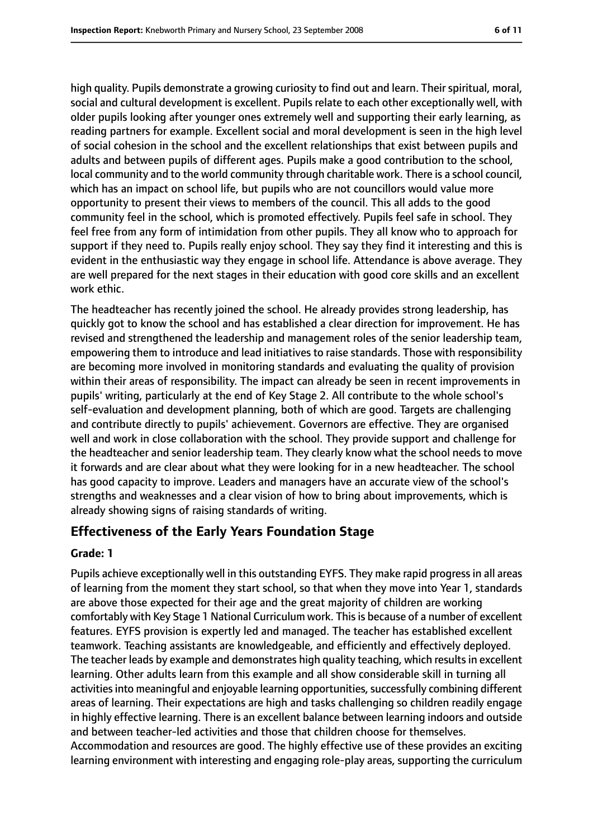high quality. Pupils demonstrate a growing curiosity to find out and learn. Their spiritual, moral, social and cultural development is excellent. Pupils relate to each other exceptionally well, with older pupils looking after younger ones extremely well and supporting their early learning, as reading partners for example. Excellent social and moral development is seen in the high level of social cohesion in the school and the excellent relationships that exist between pupils and adults and between pupils of different ages. Pupils make a good contribution to the school, local community and to the world community through charitable work. There is a school council, which has an impact on school life, but pupils who are not councillors would value more opportunity to present their views to members of the council. This all adds to the good community feel in the school, which is promoted effectively. Pupils feel safe in school. They feel free from any form of intimidation from other pupils. They all know who to approach for support if they need to. Pupils really enjoy school. They say they find it interesting and this is evident in the enthusiastic way they engage in school life. Attendance is above average. They are well prepared for the next stages in their education with good core skills and an excellent work ethic.

The headteacher has recently joined the school. He already provides strong leadership, has quickly got to know the school and has established a clear direction for improvement. He has revised and strengthened the leadership and management roles of the senior leadership team, empowering them to introduce and lead initiatives to raise standards. Those with responsibility are becoming more involved in monitoring standards and evaluating the quality of provision within their areas of responsibility. The impact can already be seen in recent improvements in pupils' writing, particularly at the end of Key Stage 2. All contribute to the whole school's self-evaluation and development planning, both of which are good. Targets are challenging and contribute directly to pupils' achievement. Governors are effective. They are organised well and work in close collaboration with the school. They provide support and challenge for the headteacher and senior leadership team. They clearly know what the school needs to move it forwards and are clear about what they were looking for in a new headteacher. The school has good capacity to improve. Leaders and managers have an accurate view of the school's strengths and weaknesses and a clear vision of how to bring about improvements, which is already showing signs of raising standards of writing.

#### **Effectiveness of the Early Years Foundation Stage**

#### **Grade: 1**

Pupils achieve exceptionally well in this outstanding EYFS. They make rapid progress in all areas of learning from the moment they start school, so that when they move into Year 1, standards are above those expected for their age and the great majority of children are working comfortably with Key Stage 1 National Curriculum work. This is because of a number of excellent features. EYFS provision is expertly led and managed. The teacher has established excellent teamwork. Teaching assistants are knowledgeable, and efficiently and effectively deployed. The teacher leads by example and demonstrates high quality teaching, which results in excellent learning. Other adults learn from this example and all show considerable skill in turning all activities into meaningful and enjoyable learning opportunities, successfully combining different areas of learning. Their expectations are high and tasks challenging so children readily engage in highly effective learning. There is an excellent balance between learning indoors and outside and between teacher-led activities and those that children choose for themselves. Accommodation and resources are good. The highly effective use of these provides an exciting learning environment with interesting and engaging role-play areas, supporting the curriculum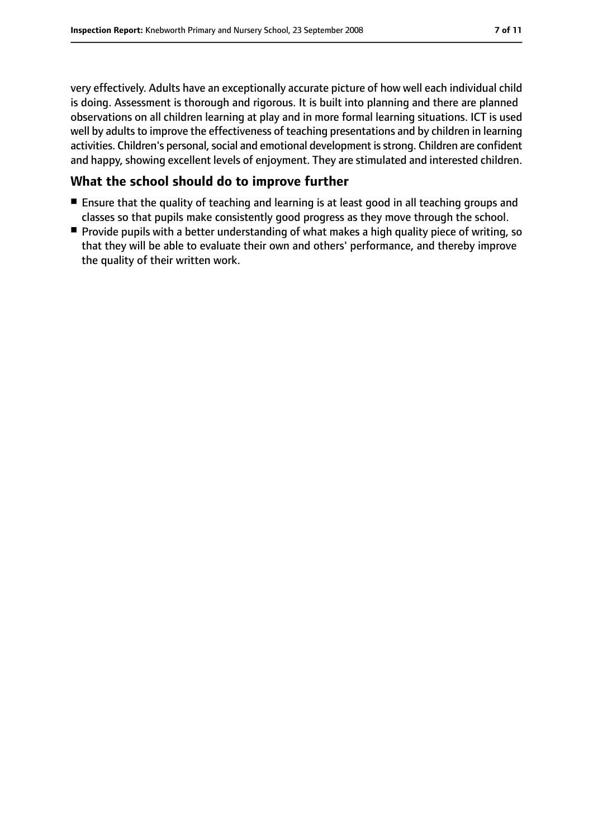very effectively. Adults have an exceptionally accurate picture of how well each individual child is doing. Assessment is thorough and rigorous. It is built into planning and there are planned observations on all children learning at play and in more formal learning situations. ICT is used well by adults to improve the effectiveness of teaching presentations and by children in learning activities. Children's personal, social and emotional development is strong. Children are confident and happy, showing excellent levels of enjoyment. They are stimulated and interested children.

#### **What the school should do to improve further**

- Ensure that the quality of teaching and learning is at least good in all teaching groups and classes so that pupils make consistently good progress as they move through the school.
- Provide pupils with a better understanding of what makes a high quality piece of writing, so that they will be able to evaluate their own and others' performance, and thereby improve the quality of their written work.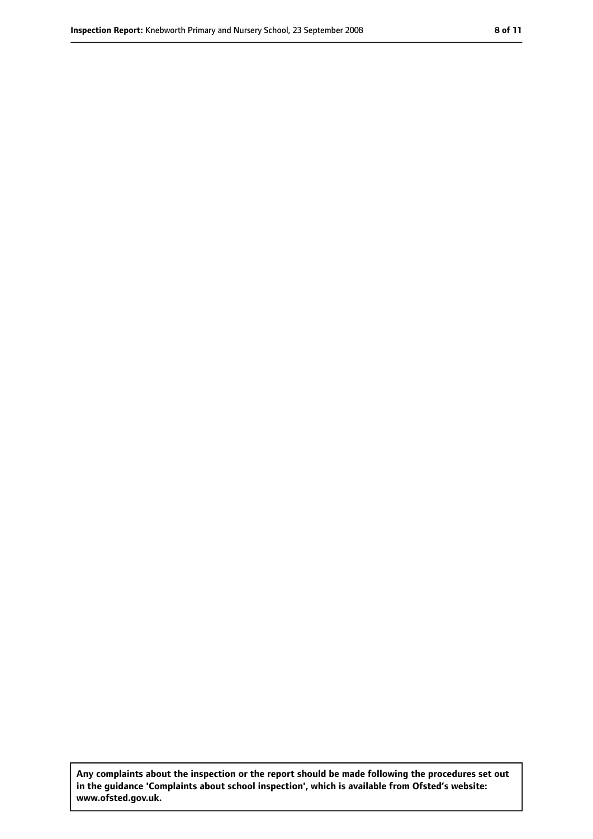**Any complaints about the inspection or the report should be made following the procedures set out in the guidance 'Complaints about school inspection', which is available from Ofsted's website: www.ofsted.gov.uk.**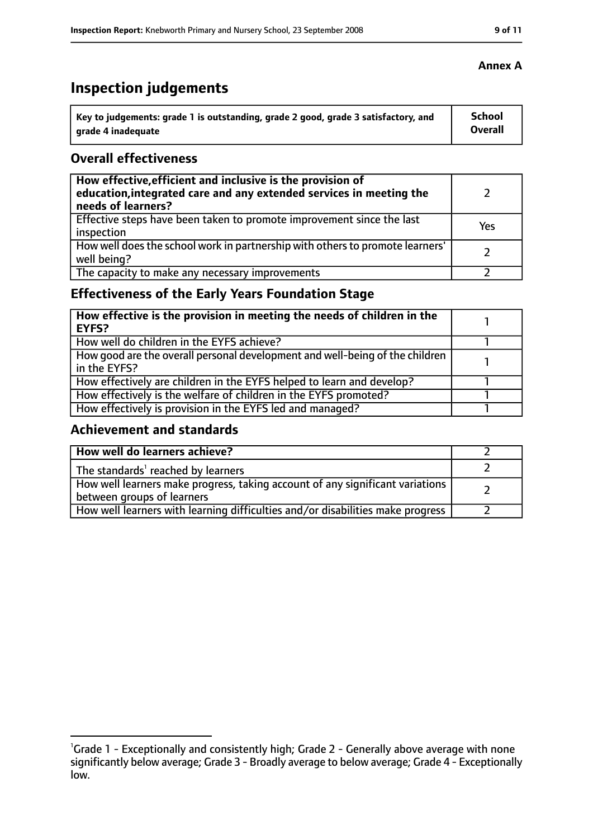# **Inspection judgements**

| Key to judgements: grade 1 is outstanding, grade 2 good, grade 3 satisfactory, and | <b>School</b> |
|------------------------------------------------------------------------------------|---------------|
| arade 4 inadequate                                                                 | Overall       |

#### **Overall effectiveness**

| How effective, efficient and inclusive is the provision of<br>education, integrated care and any extended services in meeting the<br>needs of learners? |     |
|---------------------------------------------------------------------------------------------------------------------------------------------------------|-----|
| Effective steps have been taken to promote improvement since the last<br>inspection                                                                     | Yes |
| How well does the school work in partnership with others to promote learners'<br>well being?                                                            |     |
| The capacity to make any necessary improvements                                                                                                         |     |

## **Effectiveness of the Early Years Foundation Stage**

| How effective is the provision in meeting the needs of children in the<br><b>EYFS?</b>       |  |
|----------------------------------------------------------------------------------------------|--|
| How well do children in the EYFS achieve?                                                    |  |
| How good are the overall personal development and well-being of the children<br>in the EYFS? |  |
| How effectively are children in the EYFS helped to learn and develop?                        |  |
| How effectively is the welfare of children in the EYFS promoted?                             |  |
| How effectively is provision in the EYFS led and managed?                                    |  |

#### **Achievement and standards**

| How well do learners achieve?                                                                               |  |
|-------------------------------------------------------------------------------------------------------------|--|
| The standards <sup>1</sup> reached by learners                                                              |  |
| How well learners make progress, taking account of any significant variations<br>between groups of learners |  |
| How well learners with learning difficulties and/or disabilities make progress                              |  |

<sup>&</sup>lt;sup>1</sup>Grade 1 - Exceptionally and consistently high; Grade 2 - Generally above average with none significantly below average; Grade 3 - Broadly average to below average; Grade 4 - Exceptionally low.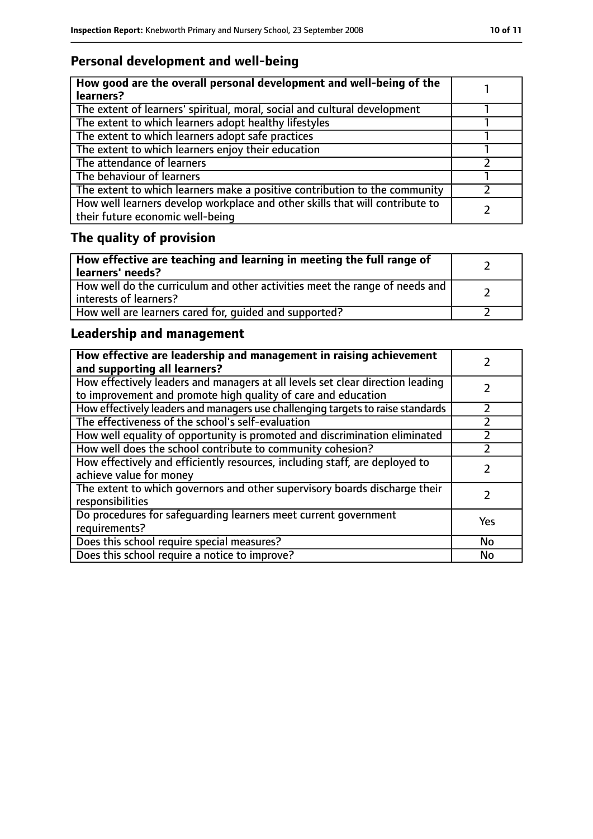## **Personal development and well-being**

| How good are the overall personal development and well-being of the<br>learners?                                 |  |
|------------------------------------------------------------------------------------------------------------------|--|
| The extent of learners' spiritual, moral, social and cultural development                                        |  |
| The extent to which learners adopt healthy lifestyles                                                            |  |
| The extent to which learners adopt safe practices                                                                |  |
| The extent to which learners enjoy their education                                                               |  |
| The attendance of learners                                                                                       |  |
| The behaviour of learners                                                                                        |  |
| The extent to which learners make a positive contribution to the community                                       |  |
| How well learners develop workplace and other skills that will contribute to<br>their future economic well-being |  |

# **The quality of provision**

| How effective are teaching and learning in meeting the full range of<br>learners' needs?              |  |
|-------------------------------------------------------------------------------------------------------|--|
| How well do the curriculum and other activities meet the range of needs and<br>interests of learners? |  |
| How well are learners cared for, quided and supported?                                                |  |

## **Leadership and management**

| How effective are leadership and management in raising achievement<br>and supporting all learners?                                              |     |
|-------------------------------------------------------------------------------------------------------------------------------------------------|-----|
| How effectively leaders and managers at all levels set clear direction leading<br>to improvement and promote high quality of care and education |     |
| How effectively leaders and managers use challenging targets to raise standards                                                                 |     |
| The effectiveness of the school's self-evaluation                                                                                               |     |
| How well equality of opportunity is promoted and discrimination eliminated                                                                      |     |
| How well does the school contribute to community cohesion?                                                                                      | フ   |
| How effectively and efficiently resources, including staff, are deployed to<br>achieve value for money                                          |     |
| The extent to which governors and other supervisory boards discharge their<br>responsibilities                                                  |     |
| Do procedures for safequarding learners meet current government<br>requirements?                                                                | Yes |
| Does this school require special measures?                                                                                                      | No  |
| Does this school require a notice to improve?                                                                                                   | No  |